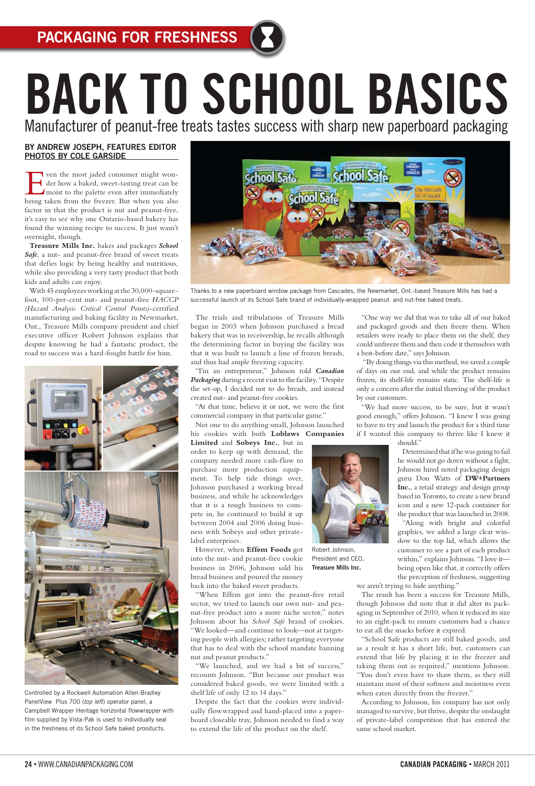## BY ANDREW JOSEPH, FEATURES EDITOR PHOTOS BY COLE GARSIDE

T ven the most jaded consumer might wonder how a baked, sweet-tasting treat can be moist to the palette even after immediately being taken from the freezer. But when you also factor in that the product is nut and peanut-free, it's easy to see why one Ontario-based bakery has found the winning recipe to success. It just wasn't overnight, though.

**Treasure Mills Inc.** bakes and packages *School*  Safe, a nut- and peanut-free brand of sweet treats that defies logic by being healthy and nutritious, while also providing a very tasty product that both kids and adults can enjoy.

With 45 employees working at the 30,000-squarefoot, 100-per-cent nut- and peanut-free *HACCP (Hazard Analysis Critical Control Points)*-certified manufacturing and baking facility in Newmarket, Ont., Treasure Mills company president and chief executive officer Robert Johnson explains that despite knowing he had a fantastic product, the road to success was a hard-fought battle for him.



The trials and tribulations of Treasure Mills began in 2003 when Johnson purchased a bread bakery that was in receivership, he recalls although the determining factor in buying the facility was that it was built to launch a line of frozen breads, and thus had ample freezing capacity.

"I'm an entrepreneur," Johnson told *Canadian Packaging* during a recent visit to the facility. "Despite the set-up, I decided not to do breads, and instead created nut- and peanut-free cookies.

"At that time, believe it or not, we were the first commercial company in that particular game."

Not one to do anything small, Johnson launched his cookies with both **Loblaws Companies Limited** and **Sobeys Inc.**, but in order to keep up with demand, the company needed more cash-flow to purchase more production equipment. To help tide things over, Johnson purchased a working bread business, and while he acknowledges that it is a tough business to compete in, he continued to build it up between 2004 and 2006 doing business with Sobeys and other privatelabel enterprises.

However, when **Effem Foods** got into the nut- and peanut-free cookie business in 2006, Johnson sold his bread business and poured the money back into the baked sweet products.

"When Effem got into the peanut-free retail sector, we tried to launch our own nut- and peanut-free product into a more niche sector," notes Johnson about his *School Safe* brand of cookies. "We looked—and continue to look—not at targeting people with allergies; rather targeting everyone that has to deal with the school mandate banning nut and peanut products." "We launched, and we had a bit of success," recounts Johnson. "But because our product was considered baked goods, we were limited with a shelf life of only 12 to 14 days."

Despite the fact that the cookies were individually flowwrapped and hand-placed into a paperboard closeable tray, Johnson needed to find a way to extend the life of the product on the shelf.

"One way we did that was to take all of our baked and packaged goods and then freeze them. When retailers were ready to place them on the shelf, they could unfreeze them and then code it themselves with a best-before date," says Johnson.

 "By doing things via this method, we saved a couple of days on our end, and while the product remains frozen, its shelf-life remains static. The shelf-life is only a concern after the initial thawing of the product by our customers.

"We had more success, to be sure, but it wasn't good enough," offers Johnson. "I knew I was going to have to try and launch the product for a third time if I wanted this company to thrive like I knew it

should."

Determined that if he was going to fail he would not go down without a fight, Johnson hired noted packaging design guru Don Watts of **DW+Partners Inc.**, a retail strategy and design group based in Toronto, to create a new brand icon and a new 12-pack container for the product that was launched in 2008.

"Along with bright and colorful graphics, we added a large clear window to the top lid, which allows the customer to see a part of each product within," explains Johnson. "I love it being open like that, it correctly offers the perception of freshness, suggesting

we aren't trying to hide anything."

The result has been a success for Treasure Mills, though Johnson did note that it did alter its packaging in September of 2010, when it reduced its size



to an eight-pack to ensure customers had a chance to eat all the snacks before it expired.

"School Safe products are still baked goods, and as a result it has a short life, but, customers can extend that life by placing it in the freezer and taking them out as required," mentions Johnson. "You don't even have to thaw them, as they still maintain most of their softness and moistness even when eaten directly from the freezer."

According to Johnson, his company has not only managed to survive, but thrive, despite the onslaught of private-label competition that has entered the same school market.

# BACK TO SCHOOL BASICS

Manufacturer of peanut-free treats tastes success with sharp new paperboard packaging

Controlled by a Rockwell Automation Allen-Bradley PanelView Plus 700 (*top left*) operator panel, a Campbell Wrapper Heritage horizontal flowwrapper with film supplied by Vista-Pak is used to individually seal in the freshness of its School Safe baked prooducts.



Thanks to a new paperboard window package from Cascades, the Newmarket, Ont.-based Treasure Mills has had a successful launch of its School Safe brand of individually-wrapped peanut- and nut-free baked treats.

Robert Johnson, President and CEO, Treasure Mills Inc.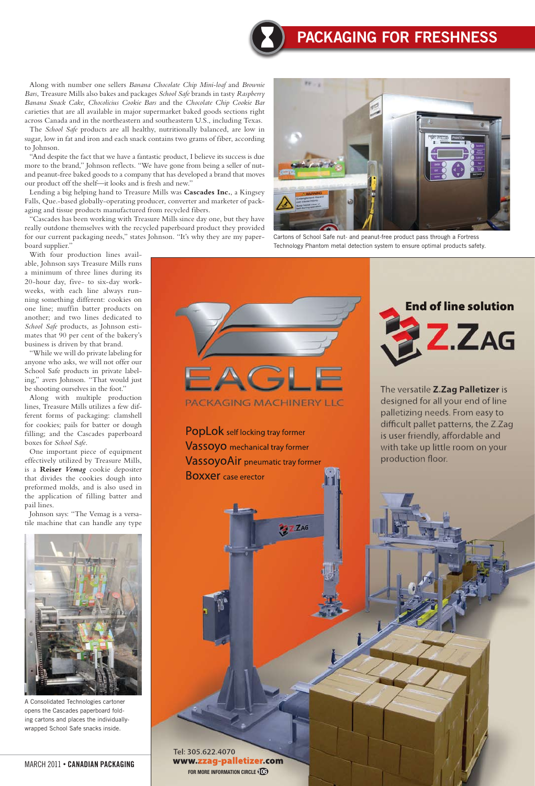### March 2011 • CANADIAN PACKAGING

# Packaging For Freshness



Along with number one sellers *Banana Chocolate Chip Mini-loaf* and *Brownie Bars*, Treasure Mills also bakes and packages *School Safe* brands in tasty *Raspberry Banana Snack Cake*, *Chocolicius Cookie Bars* and the *Chocolate Chip Cookie Bar* carieties that are all available in major supermarket baked goods sections right across Canada and in the northeastern and southeastern U.S., including Texas.

The *School Safe* products are all healthy, nutritionally balanced, are low in sugar, low in fat and iron and each snack contains two grams of fiber, according to Johnson.

"And despite the fact that we have a fantastic product, I believe its success is due more to the brand," Johnson reflects. "We have gone from being a seller of nutand peanut-free baked goods to a company that has developed a brand that moves our product off the shelf—it looks and is fresh and new."

Lending a big helping hand to Treasure Mills was **Cascades Inc.**, a Kingsey Falls, Que.-based globally-operating producer, converter and marketer of packaging and tissue products manufactured from recycled fibers.

"Cascades has been working with Treasure Mills since day one, but they have really outdone themselves with the recycled paperboard product they provided for our current packaging needs," states Johnson. "It's why they are my paperboard supplier."

> Tel: 305.622.4070 www.zzag-palletizer.com **FOR MORE INFORMATION CIRCLE 106**

With four production lines available, Johnson says Treasure Mills runs a minimum of three lines during its 20-hour day, five- to six-day workweeks, with each line always running something different: cookies on one line; muffin batter products on another; and two lines dedicated to *School Safe* products, as Johnson estimates that 90 per cent of the bakery's business is driven by that brand.

"While we will do private labeling for anyone who asks, we will not offer our School Safe products in private labeling," avers Johnson. "That would just be shooting ourselves in the foot."

Along with multiple production lines, Treasure Mills utilizes a few different forms of packaging: clamshell for cookies; pails for batter or dough filling; and the Cascades paperboard boxes for *School Safe*.

One important piece of equipment effectively utilized by Treasure Mills, is a **Reiser** *Vemag* cookie depositer that divides the cookies dough into preformed molds, and is also used in the application of filling batter and pail lines.

Johnson says: "The Vemag is a versatile machine that can handle any type



A Consolidated Technologies cartoner opens the Cascades paperboard folding cartons and places the individuallywrapped School Safe snacks inside.



Cartons of School Safe nut- and peanut-free product pass through a Fortress Technology Phantom metal detection system to ensure optimal products safety.





The versatile Z.Zag Palletizer is designed for all your end of line palletizing needs. From easy to difficult pallet patterns, the Z.Zag is user friendly, affordable and with take up little room on your production floor.